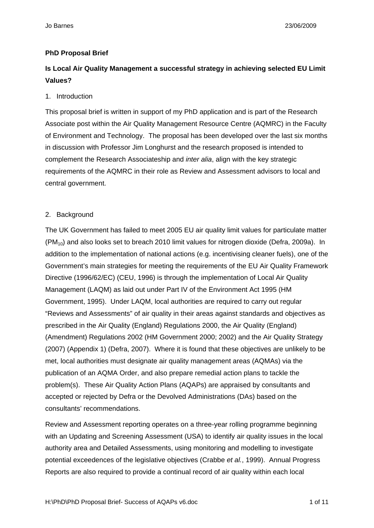#### **PhD Proposal Brief**

# **Is Local Air Quality Management a successful strategy in achieving selected EU Limit Values?**

#### 1. Introduction

This proposal brief is written in support of my PhD application and is part of the Research Associate post within the Air Quality Management Resource Centre (AQMRC) in the Faculty of Environment and Technology. The proposal has been developed over the last six months in discussion with Professor Jim Longhurst and the research proposed is intended to complement the Research Associateship and *inter alia*, align with the key strategic requirements of the AQMRC in their role as Review and Assessment advisors to local and central government.

#### 2. Background

The UK Government has failed to meet 2005 EU air quality limit values for particulate matter  $(PM_{10})$  and also looks set to breach 2010 limit values for nitrogen dioxide (Defra, 2009a). In addition to the implementation of national actions (e.g. incentivising cleaner fuels), one of the Government's main strategies for meeting the requirements of the EU Air Quality Framework Directive (1996/62/EC) (CEU, 1996) is through the implementation of Local Air Quality Management (LAQM) as laid out under Part IV of the Environment Act 1995 (HM Government, 1995). Under LAQM, local authorities are required to carry out regular "Reviews and Assessments" of air quality in their areas against standards and objectives as prescribed in the Air Quality (England) Regulations 2000, the Air Quality (England) (Amendment) Regulations 2002 (HM Government 2000; 2002) and the Air Quality Strategy (2007) (Appendix 1) (Defra, 2007). Where it is found that these objectives are unlikely to be met, local authorities must designate air quality management areas (AQMAs) via the publication of an AQMA Order, and also prepare remedial action plans to tackle the problem(s). These Air Quality Action Plans (AQAPs) are appraised by consultants and accepted or rejected by Defra or the Devolved Administrations (DAs) based on the consultants' recommendations.

Review and Assessment reporting operates on a three-year rolling programme beginning with an Updating and Screening Assessment (USA) to identify air quality issues in the local authority area and Detailed Assessments, using monitoring and modelling to investigate potential exceedences of the legislative objectives (Crabbe *et al.*, 1999). Annual Progress Reports are also required to provide a continual record of air quality within each local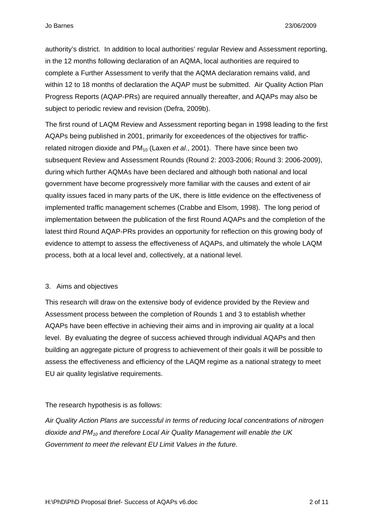authority's district. In addition to local authorities' regular Review and Assessment reporting, in the 12 months following declaration of an AQMA, local authorities are required to complete a Further Assessment to verify that the AQMA declaration remains valid, and within 12 to 18 months of declaration the AQAP must be submitted. Air Quality Action Plan Progress Reports (AQAP-PRs) are required annually thereafter, and AQAPs may also be subject to periodic review and revision (Defra, 2009b).

The first round of LAQM Review and Assessment reporting began in 1998 leading to the first AQAPs being published in 2001, primarily for exceedences of the objectives for trafficrelated nitrogen dioxide and PM<sub>10</sub> (Laxen *et al.*, 2001). There have since been two subsequent Review and Assessment Rounds (Round 2: 2003-2006; Round 3: 2006-2009), during which further AQMAs have been declared and although both national and local government have become progressively more familiar with the causes and extent of air quality issues faced in many parts of the UK, there is little evidence on the effectiveness of implemented traffic management schemes (Crabbe and Elsom, 1998). The long period of implementation between the publication of the first Round AQAPs and the completion of the latest third Round AQAP-PRs provides an opportunity for reflection on this growing body of evidence to attempt to assess the effectiveness of AQAPs, and ultimately the whole LAQM process, both at a local level and, collectively, at a national level.

#### 3. Aims and objectives

This research will draw on the extensive body of evidence provided by the Review and Assessment process between the completion of Rounds 1 and 3 to establish whether AQAPs have been effective in achieving their aims and in improving air quality at a local level. By evaluating the degree of success achieved through individual AQAPs and then building an aggregate picture of progress to achievement of their goals it will be possible to assess the effectiveness and efficiency of the LAQM regime as a national strategy to meet EU air quality legislative requirements.

### The research hypothesis is as follows:

*Air Quality Action Plans are successful in terms of reducing local concentrations of nitrogen dioxide and PM10 and therefore Local Air Quality Management will enable the UK Government to meet the relevant EU Limit Values in the future.*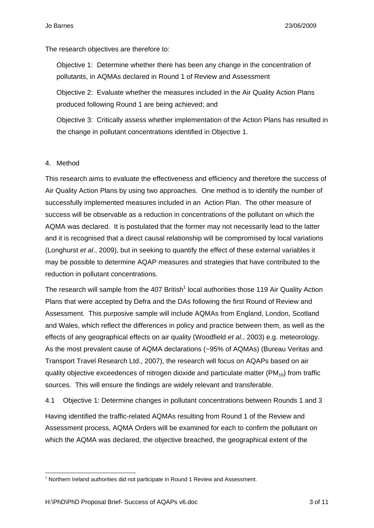The research objectives are therefore to:

Objective 1: Determine whether there has been any change in the concentration of pollutants, in AQMAs declared in Round 1 of Review and Assessment

Objective 2: Evaluate whether the measures included in the Air Quality Action Plans produced following Round 1 are being achieved; and

Objective 3: Critically assess whether implementation of the Action Plans has resulted in the change in pollutant concentrations identified in Objective 1.

### 4. Method

1

This research aims to evaluate the effectiveness and efficiency and therefore the success of Air Quality Action Plans by using two approaches. One method is to identify the number of successfully implemented measures included in an Action Plan. The other measure of success will be observable as a reduction in concentrations of the pollutant on which the AQMA was declared. It is postulated that the former may not necessarily lead to the latter and it is recognised that a direct causal relationship will be compromised by local variations (Longhurst *et al*., 2009), but in seeking to quantify the effect of these external variables it may be possible to determine AQAP measures and strategies that have contributed to the reduction in pollutant concentrations.

The research will sample from the 407 British<sup>1</sup> local authorities those 119 Air Quality Action Plans that were accepted by Defra and the DAs following the first Round of Review and Assessment. This purposive sample will include AQMAs from England, London, Scotland and Wales, which reflect the differences in policy and practice between them, as well as the effects of any geographical effects on air quality (Woodfield *et al.*, 2003) e.g. meteorology. As the most prevalent cause of AQMA declarations (~95% of AQMAs) (Bureau Veritas and Transport Travel Research Ltd., 2007), the research will focus on AQAPs based on air quality objective exceedences of nitrogen dioxide and particulate matter ( $PM_{10}$ ) from traffic sources. This will ensure the findings are widely relevant and transferable.

4.1 Objective 1: Determine changes in pollutant concentrations between Rounds 1 and 3 Having identified the traffic-related AQMAs resulting from Round 1 of the Review and Assessment process, AQMA Orders will be examined for each to confirm the pollutant on which the AQMA was declared, the objective breached, the geographical extent of the

 $1$  Northern Ireland authorities did not participate in Round 1 Review and Assessment.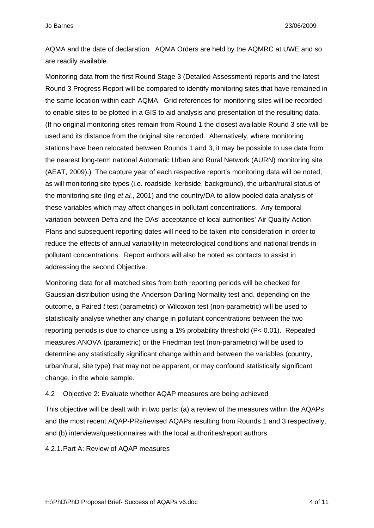AQMA and the date of declaration. AQMA Orders are held by the AQMRC at UWE and so are readily available.

Monitoring data from the first Round Stage 3 (Detailed Assessment) reports and the latest Round 3 Progress Report will be compared to identify monitoring sites that have remained in the same location within each AQMA. Grid references for monitoring sites will be recorded to enable sites to be plotted in a GIS to aid analysis and presentation of the resulting data. (If no original monitoring sites remain from Round 1 the closest available Round 3 site will be used and its distance from the original site recorded. Alternatively, where monitoring stations have been relocated between Rounds 1 and 3, it may be possible to use data from the nearest long-term national Automatic Urban and Rural Network (AURN) monitoring site (AEAT, 2009).) The capture year of each respective report's monitoring data will be noted, as will monitoring site types (i.e. roadside, kerbside, background), the urban/rural status of the monitoring site (Ing *et al.*, 2001) and the country/DA to allow pooled data analysis of these variables which may affect changes in pollutant concentrations. Any temporal variation between Defra and the DAs' acceptance of local authorities' Air Quality Action Plans and subsequent reporting dates will need to be taken into consideration in order to reduce the effects of annual variability in meteorological conditions and national trends in pollutant concentrations. Report authors will also be noted as contacts to assist in addressing the second Objective.

Monitoring data for all matched sites from both reporting periods will be checked for Gaussian distribution using the Anderson-Darling Normality test and, depending on the outcome, a Paired *t* test (parametric) or Wilcoxon test (non-parametric) will be used to statistically analyse whether any change in pollutant concentrations between the two reporting periods is due to chance using a 1% probability threshold (P< 0.01). Repeated measures ANOVA (parametric) or the Friedman test (non-parametric) will be used to determine any statistically significant change within and between the variables (country, urban/rural, site type) that may not be apparent, or may confound statistically significant change, in the whole sample.

### 4.2 Objective 2: Evaluate whether AQAP measures are being achieved

This objective will be dealt with in two parts: (a) a review of the measures within the AQAPs and the most recent AQAP-PRs/revised AQAPs resulting from Rounds 1 and 3 respectively, and (b) interviews/questionnaires with the local authorities/report authors.

4.2.1. Part A: Review of AQAP measures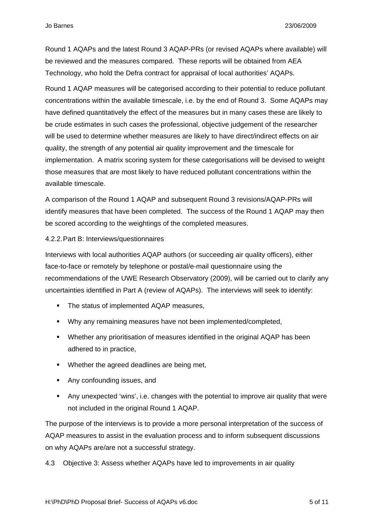Round 1 AQAPs and the latest Round 3 AQAP-PRs (or revised AQAPs where available) will be reviewed and the measures compared. These reports will be obtained from AEA Technology, who hold the Defra contract for appraisal of local authorities' AQAPs.

Round 1 AQAP measures will be categorised according to their potential to reduce pollutant concentrations within the available timescale, i.e. by the end of Round 3. Some AQAPs may have defined quantitatively the effect of the measures but in many cases these are likely to be crude estimates in such cases the professional, objective judgement of the researcher will be used to determine whether measures are likely to have direct/indirect effects on air quality, the strength of any potential air quality improvement and the timescale for implementation. A matrix scoring system for these categorisations will be devised to weight those measures that are most likely to have reduced pollutant concentrations within the available timescale.

A comparison of the Round 1 AQAP and subsequent Round 3 revisions/AQAP-PRs will identify measures that have been completed. The success of the Round 1 AQAP may then be scored according to the weightings of the completed measures.

#### 4.2.2. Part B: Interviews/questionnaires

Interviews with local authorities AQAP authors (or succeeding air quality officers), either face-to-face or remotely by telephone or postal/e-mail questionnaire using the recommendations of the UWE Research Observatory (2009), will be carried out to clarify any uncertainties identified in Part A (review of AQAPs). The interviews will seek to identify:

- The status of implemented AQAP measures,
- Why any remaining measures have not been implemented/completed,
- Whether any prioritisation of measures identified in the original AQAP has been adhered to in practice,
- **Whether the agreed deadlines are being met,**
- **Any confounding issues, and**
- Any unexpected 'wins', i.e. changes with the potential to improve air quality that were not included in the original Round 1 AQAP.

The purpose of the interviews is to provide a more personal interpretation of the success of AQAP measures to assist in the evaluation process and to inform subsequent discussions on why AQAPs are/are not a successful strategy.

4.3 Objective 3: Assess whether AQAPs have led to improvements in air quality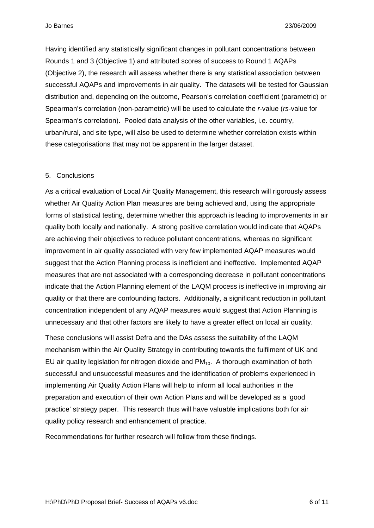Having identified any statistically significant changes in pollutant concentrations between Rounds 1 and 3 (Objective 1) and attributed scores of success to Round 1 AQAPs (Objective 2), the research will assess whether there is any statistical association between successful AQAPs and improvements in air quality. The datasets will be tested for Gaussian distribution and, depending on the outcome, Pearson's correlation coefficient (parametric) or Spearman's correlation (non-parametric) will be used to calculate the *r*-value (*rs*-value for Spearman's correlation). Pooled data analysis of the other variables, i.e. country, urban/rural, and site type, will also be used to determine whether correlation exists within these categorisations that may not be apparent in the larger dataset.

### 5. Conclusions

As a critical evaluation of Local Air Quality Management, this research will rigorously assess whether Air Quality Action Plan measures are being achieved and, using the appropriate forms of statistical testing, determine whether this approach is leading to improvements in air quality both locally and nationally. A strong positive correlation would indicate that AQAPs are achieving their objectives to reduce pollutant concentrations, whereas no significant improvement in air quality associated with very few implemented AQAP measures would suggest that the Action Planning process is inefficient and ineffective. Implemented AQAP measures that are not associated with a corresponding decrease in pollutant concentrations indicate that the Action Planning element of the LAQM process is ineffective in improving air quality or that there are confounding factors. Additionally, a significant reduction in pollutant concentration independent of any AQAP measures would suggest that Action Planning is unnecessary and that other factors are likely to have a greater effect on local air quality.

These conclusions will assist Defra and the DAs assess the suitability of the LAQM mechanism within the Air Quality Strategy in contributing towards the fulfilment of UK and EU air quality legislation for nitrogen dioxide and  $PM_{10}$ . A thorough examination of both successful and unsuccessful measures and the identification of problems experienced in implementing Air Quality Action Plans will help to inform all local authorities in the preparation and execution of their own Action Plans and will be developed as a 'good practice' strategy paper. This research thus will have valuable implications both for air quality policy research and enhancement of practice.

Recommendations for further research will follow from these findings.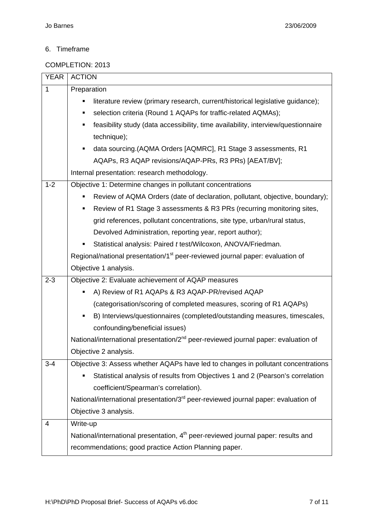# 6. Timeframe

## COMPLETION: 2013

| <b>YEAR</b>  | <b>ACTION</b>                                                                                  |  |  |  |  |  |  |  |  |
|--------------|------------------------------------------------------------------------------------------------|--|--|--|--|--|--|--|--|
| $\mathbf{1}$ | Preparation                                                                                    |  |  |  |  |  |  |  |  |
|              | literature review (primary research, current/historical legislative guidance);                 |  |  |  |  |  |  |  |  |
|              | selection criteria (Round 1 AQAPs for traffic-related AQMAs);<br>٠                             |  |  |  |  |  |  |  |  |
|              | feasibility study (data accessibility, time availability, interview/questionnaire<br>٠         |  |  |  |  |  |  |  |  |
|              | technique);                                                                                    |  |  |  |  |  |  |  |  |
|              | data sourcing. (AQMA Orders [AQMRC], R1 Stage 3 assessments, R1<br>٠                           |  |  |  |  |  |  |  |  |
|              | AQAPs, R3 AQAP revisions/AQAP-PRs, R3 PRs) [AEAT/BV];                                          |  |  |  |  |  |  |  |  |
|              | Internal presentation: research methodology.                                                   |  |  |  |  |  |  |  |  |
| $1 - 2$      | Objective 1: Determine changes in pollutant concentrations                                     |  |  |  |  |  |  |  |  |
|              | Review of AQMA Orders (date of declaration, pollutant, objective, boundary);                   |  |  |  |  |  |  |  |  |
|              | Review of R1 Stage 3 assessments & R3 PRs (recurring monitoring sites,<br>٠                    |  |  |  |  |  |  |  |  |
|              | grid references, pollutant concentrations, site type, urban/rural status,                      |  |  |  |  |  |  |  |  |
|              | Devolved Administration, reporting year, report author);                                       |  |  |  |  |  |  |  |  |
|              | Statistical analysis: Paired t test/Wilcoxon, ANOVA/Friedman.                                  |  |  |  |  |  |  |  |  |
|              | Regional/national presentation/1 <sup>st</sup> peer-reviewed journal paper: evaluation of      |  |  |  |  |  |  |  |  |
|              | Objective 1 analysis.                                                                          |  |  |  |  |  |  |  |  |
| $2 - 3$      | Objective 2: Evaluate achievement of AQAP measures                                             |  |  |  |  |  |  |  |  |
|              | A) Review of R1 AQAPs & R3 AQAP-PR/revised AQAP                                                |  |  |  |  |  |  |  |  |
|              | (categorisation/scoring of completed measures, scoring of R1 AQAPs)                            |  |  |  |  |  |  |  |  |
|              | B) Interviews/questionnaires (completed/outstanding measures, timescales,                      |  |  |  |  |  |  |  |  |
|              | confounding/beneficial issues)                                                                 |  |  |  |  |  |  |  |  |
|              | National/international presentation/2 <sup>nd</sup> peer-reviewed journal paper: evaluation of |  |  |  |  |  |  |  |  |
|              | Objective 2 analysis.                                                                          |  |  |  |  |  |  |  |  |
| $3 - 4$      | Objective 3: Assess whether AQAPs have led to changes in pollutant concentrations              |  |  |  |  |  |  |  |  |
|              | Statistical analysis of results from Objectives 1 and 2 (Pearson's correlation                 |  |  |  |  |  |  |  |  |
|              | coefficient/Spearman's correlation).                                                           |  |  |  |  |  |  |  |  |
|              | National/international presentation/3 <sup>rd</sup> peer-reviewed journal paper: evaluation of |  |  |  |  |  |  |  |  |
|              | Objective 3 analysis.                                                                          |  |  |  |  |  |  |  |  |
| 4            | Write-up                                                                                       |  |  |  |  |  |  |  |  |
|              | National/international presentation, 4 <sup>th</sup> peer-reviewed journal paper: results and  |  |  |  |  |  |  |  |  |
|              | recommendations; good practice Action Planning paper.                                          |  |  |  |  |  |  |  |  |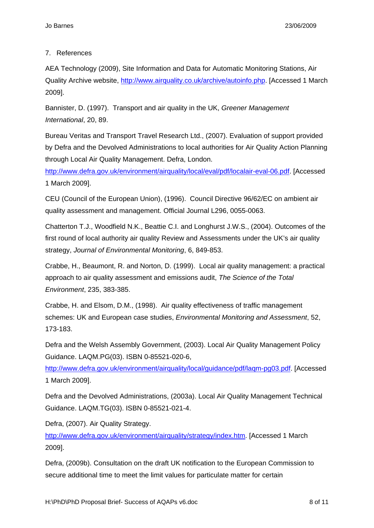## 7. References

AEA Technology (2009), Site Information and Data for Automatic Monitoring Stations, Air Quality Archive website, http://www.airquality.co.uk/archive/autoinfo.php. [Accessed 1 March 2009].

Bannister, D. (1997). Transport and air quality in the UK, *Greener Management International*, 20, 89.

Bureau Veritas and Transport Travel Research Ltd., (2007). Evaluation of support provided by Defra and the Devolved Administrations to local authorities for Air Quality Action Planning through Local Air Quality Management. Defra, London.

http://www.defra.gov.uk/environment/airquality/local/eval/pdf/localair-eval-06.pdf. [Accessed 1 March 2009].

CEU (Council of the European Union), (1996). Council Directive 96/62/EC on ambient air quality assessment and management. Official Journal L296, 0055-0063.

Chatterton T.J., Woodfield N.K., Beattie C.I. and Longhurst J.W.S., (2004). Outcomes of the first round of local authority air quality Review and Assessments under the UK's air quality strategy, *Journal of Environmental Monitoring*, 6, 849-853.

Crabbe, H., Beaumont, R. and Norton, D. (1999). Local air quality management: a practical approach to air quality assessment and emissions audit, *The Science of the Total Environment*, 235, 383-385.

Crabbe, H. and Elsom, D.M., (1998). Air quality effectiveness of traffic management schemes: UK and European case studies, *Environmental Monitoring and Assessment*, 52, 173-183.

Defra and the Welsh Assembly Government, (2003). Local Air Quality Management Policy Guidance. LAQM.PG(03). ISBN 0-85521-020-6,

http://www.defra.gov.uk/environment/airquality/local/guidance/pdf/laqm-pg03.pdf. [Accessed 1 March 2009].

Defra and the Devolved Administrations, (2003a). Local Air Quality Management Technical Guidance. LAQM.TG(03). ISBN 0-85521-021-4.

Defra, (2007). Air Quality Strategy.

http://www.defra.gov.uk/environment/airquality/strategy/index.htm. [Accessed 1 March 2009].

Defra, (2009b). Consultation on the draft UK notification to the European Commission to secure additional time to meet the limit values for particulate matter for certain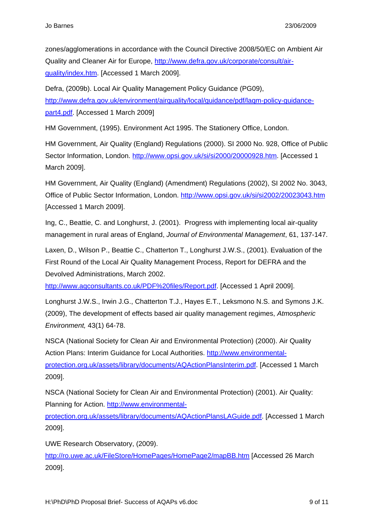zones/agglomerations in accordance with the Council Directive 2008/50/EC on Ambient Air Quality and Cleaner Air for Europe, http://www.defra.gov.uk/corporate/consult/airquality/index.htm. [Accessed 1 March 2009].

Defra, (2009b). Local Air Quality Management Policy Guidance (PG09), http://www.defra.gov.uk/environment/airquality/local/guidance/pdf/laqm-policy-guidancepart4.pdf. [Accessed 1 March 2009]

HM Government, (1995). Environment Act 1995. The Stationery Office, London.

HM Government, Air Quality (England) Regulations (2000). SI 2000 No. 928, Office of Public Sector Information, London. http://www.opsi.gov.uk/si/si2000/20000928.htm. [Accessed 1 March 2009].

HM Government, Air Quality (England) (Amendment) Regulations (2002), SI 2002 No. 3043, Office of Public Sector Information, London. http://www.opsi.gov.uk/si/si2002/20023043.htm [Accessed 1 March 2009].

Ing, C., Beattie, C. and Longhurst, J. (2001). Progress with implementing local air-quality management in rural areas of England, *Journal of Environmental Management*, 61, 137-147.

Laxen, D., Wilson P., Beattie C., Chatterton T., Longhurst J.W.S., (2001). Evaluation of the First Round of the Local Air Quality Management Process, Report for DEFRA and the Devolved Administrations, March 2002.

http://www.aqconsultants.co.uk/PDF%20files/Report.pdf. [Accessed 1 April 2009].

Longhurst J.W.S., Irwin J.G., Chatterton T.J., Hayes E.T., Leksmono N.S. and Symons J.K. (2009), The development of effects based air quality management regimes, *Atmospheric Environment,* 43(1) 64-78.

NSCA (National Society for Clean Air and Environmental Protection) (2000). Air Quality Action Plans: Interim Guidance for Local Authorities. http://www.environmentalprotection.org.uk/assets/library/documents/AQActionPlansInterim.pdf. [Accessed 1 March 2009].

NSCA (National Society for Clean Air and Environmental Protection) (2001). Air Quality: Planning for Action. http://www.environmental-

protection.org.uk/assets/library/documents/AQActionPlansLAGuide.pdf. [Accessed 1 March 2009].

UWE Research Observatory, (2009).

http://ro.uwe.ac.uk/FileStore/HomePages/HomePage2/mapBB.htm [Accessed 26 March 2009].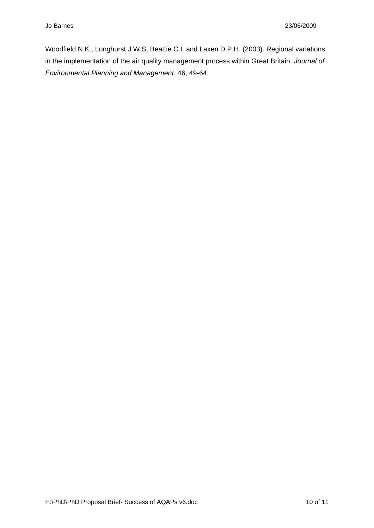Woodfield N.K., Longhurst J.W.S, Beattie C.I. and Laxen D.P.H. (2003). Regional variations in the implementation of the air quality management process within Great Britain. *Journal of Environmental Planning and Management*, 46, 49-64.